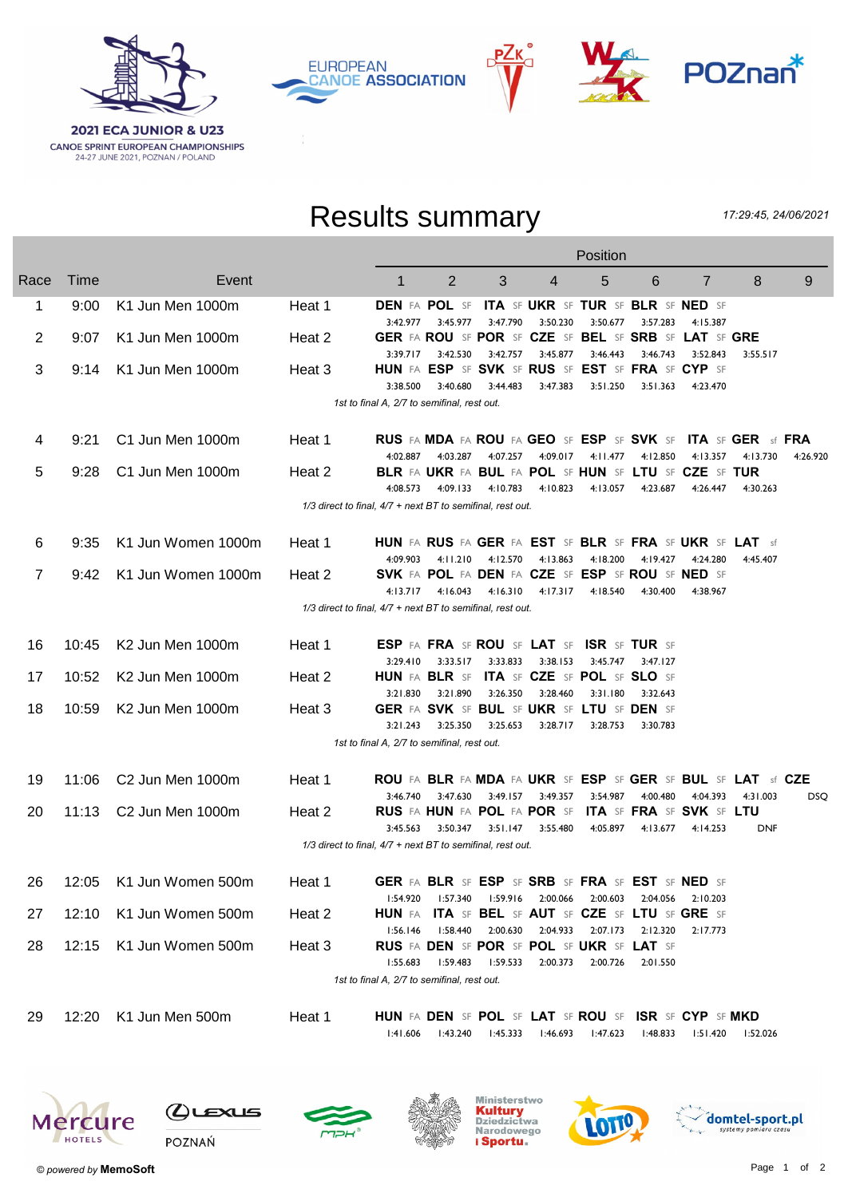

**EUROPEAN CANOE ASSOCIATION** 





## Results summary

17:29:45, 24/06/2021

|      |                                                            |                         |                                                                | Position                                                |                                                                  |                   |                            |                                     |          |                                                                |                                      |          |
|------|------------------------------------------------------------|-------------------------|----------------------------------------------------------------|---------------------------------------------------------|------------------------------------------------------------------|-------------------|----------------------------|-------------------------------------|----------|----------------------------------------------------------------|--------------------------------------|----------|
| Race | Time                                                       | Event                   |                                                                | $\mathbf{1}$                                            | $\overline{2}$                                                   | 3                 | 4                          | 5                                   | 6        | $\overline{7}$                                                 | 8                                    | 9        |
| 1    | 9:00                                                       | K1 Jun Men 1000m        | Heat 1                                                         |                                                         | <b>DEN FA POL SF ITA SF UKR SF TUR SF BLR SF NED SF</b>          |                   |                            |                                     |          |                                                                |                                      |          |
| 2    | 9:07                                                       | K1 Jun Men 1000m        | Heat 2                                                         | 3:42.977                                                | 3:45.977<br>GER FA ROU SF POR SF CZE SF BEL SF SRB SF LAT SF GRE | 3:47.790          | 3:50.230                   | 3:50.677                            | 3:57.283 | 4:15.387                                                       |                                      |          |
| 3    | 9:14                                                       | K1 Jun Men 1000m        | Heat 3                                                         | 3:39.717                                                | 3:42.530<br>HUN FA ESP SF SVK SF RUS SF EST SF FRA SF CYP SF     | 3:42.757          | 3:45.877                   | 3:46.443                            | 3:46.743 | 3:52.843                                                       | 3:55.517                             |          |
|      |                                                            |                         |                                                                | 3:38.500<br>1st to final A, 2/7 to semifinal, rest out. | 3:40.680                                                         | 3:44.483          | 3:47.383                   | 3:51.250                            | 3:51.363 | 4:23.470                                                       |                                      |          |
|      |                                                            |                         |                                                                |                                                         |                                                                  |                   |                            |                                     |          |                                                                |                                      |          |
| 4    | 9:21                                                       | C1 Jun Men 1000m        | Heat 1                                                         | 4:02.887                                                | <b>RUS FA MDA FA ROU FA GEO SF ESP SF SVK SF</b><br>4:03.287     | 4:07.257          | 4:09.017                   | 4:11.477                            | 4:12.850 | 4:13.357                                                       | <b>ITA SF GER sf FRA</b><br>4:13.730 | 4:26.920 |
| 5    | 9:28                                                       | C1 Jun Men 1000m        | Heat 2                                                         |                                                         | BLR FA UKR FA BUL FA POL SF HUN SF LTU SF CZE SF TUR             |                   |                            |                                     |          |                                                                |                                      |          |
|      |                                                            |                         | 1/3 direct to final, 4/7 + next BT to semifinal, rest out.     | 4:08.573                                                | 4:09.133                                                         | 4:10.783          | 4:10.823                   | 4:13.057                            | 4:23.687 | 4:26.447                                                       | 4:30.263                             |          |
|      |                                                            |                         |                                                                |                                                         |                                                                  |                   |                            |                                     |          |                                                                |                                      |          |
| 6    | 9:35                                                       | K1 Jun Women 1000m      | Heat 1                                                         |                                                         | HUN FA RUS FA GER FA EST SF BLR SF FRA SF UKR SF LAT sf          |                   |                            |                                     |          |                                                                |                                      |          |
| 7    | 9:42                                                       | K1 Jun Women 1000m      | Heat 2                                                         | 4:09.903                                                | 4:11.210<br>SVK FA POL FA DEN FA CZE SF ESP SF ROU SF NED SF     | 4:12.570          | 4:13.863                   | 4:18.200                            | 4:19.427 | 4:24.280                                                       | 4:45.407                             |          |
|      |                                                            |                         |                                                                |                                                         | 4:13.717 4:16.043 4:16.310 4:17.317                              |                   |                            | 4:18.540                            | 4:30.400 | 4:38.967                                                       |                                      |          |
|      | 1/3 direct to final, 4/7 + next BT to semifinal, rest out. |                         |                                                                |                                                         |                                                                  |                   |                            |                                     |          |                                                                |                                      |          |
|      |                                                            |                         |                                                                |                                                         |                                                                  |                   |                            |                                     |          |                                                                |                                      |          |
| 16   | 10:45                                                      | K2 Jun Men 1000m        | Heat 1                                                         |                                                         | ESP FA FRA SF ROU SF LAT SF ISR SF TUR SF                        |                   |                            |                                     |          |                                                                |                                      |          |
| 17   | 10:52                                                      | K2 Jun Men 1000m        | Heat 2                                                         | 3:29.410                                                | HUN FA BLR SF ITA SF CZE SF POL SF SLO SF                        | 3:33.517 3:33.833 | 3:38.153                   | 3:45.747                            | 3:47.127 |                                                                |                                      |          |
|      |                                                            |                         |                                                                | 3:21.830                                                | 3:21.890                                                         | 3:26.350          | 3:28.460                   | 3:31.180                            | 3:32.643 |                                                                |                                      |          |
| 18   | 10:59                                                      | K2 Jun Men 1000m        | Heat 3                                                         |                                                         | GER FA SVK SF BUL SF UKR SF LTU SF DEN SF                        |                   |                            |                                     |          |                                                                |                                      |          |
|      |                                                            |                         |                                                                | 3:21.243                                                | 3:25.350                                                         | 3:25.653          | 3:28.717                   | 3:28.753                            | 3:30.783 |                                                                |                                      |          |
|      |                                                            |                         |                                                                | 1st to final A, 2/7 to semifinal, rest out.             |                                                                  |                   |                            |                                     |          |                                                                |                                      |          |
| 19   | 11:06                                                      | C2 Jun Men 1000m        | Heat 1                                                         |                                                         | ROU FA BLR FA MDA FA UKR SF ESP SF GER SF BUL SF LAT sf CZE      |                   |                            |                                     |          |                                                                |                                      |          |
| 20   | 11:13                                                      | C2 Jun Men 1000m        | Heat 2                                                         | 3:46.740                                                | RUS FA HUN FA POL FA POR SF ITA SF FRA SF SVK SF LTU             |                   | 3:47.630 3:49.157 3:49.357 | 3:54.987                            | 4:00.480 | 4:04.393                                                       | 4:31.003                             | DSQ.     |
|      |                                                            |                         |                                                                | 3:45.563                                                | 3:50.347                                                         | 3:51.147          | 3:55.480                   | 4:05.897                            | 4:13.677 | 4:14.253                                                       | <b>DNF</b>                           |          |
|      |                                                            |                         | $1/3$ direct to final, $4/7$ + next BT to semifinal, rest out. |                                                         |                                                                  |                   |                            |                                     |          |                                                                |                                      |          |
|      |                                                            |                         |                                                                |                                                         |                                                                  |                   |                            |                                     |          |                                                                |                                      |          |
| 26.  |                                                            | 12:05 K1 Jun Women 500m | Heat 1                                                         |                                                         | GER FA BLR SF ESP SF SRB SF FRA SF EST SF NED SF                 |                   |                            |                                     |          |                                                                |                                      |          |
| 27   | 12:10                                                      | K1 Jun Women 500m       | Heat 2                                                         | l:54.920<br>HUN FA                                      |                                                                  |                   |                            | 1:57.340 1:59.916 2:00.066 2:00.603 |          | 2:04.056 2:10.203<br>ITA SF BEL SF AUT SF CZE SF LTU SF GRE SF |                                      |          |
|      |                                                            |                         |                                                                | 1:56.146                                                |                                                                  | I:58.440 2:00.630 |                            | 2:04.933 2:07.173                   | 2:12.320 | 2:17.773                                                       |                                      |          |
| 28   | 12:15                                                      | K1 Jun Women 500m       | Heat 3                                                         | 1:55.683                                                | RUS FA DEN SF POR SF POL SF UKR SF LAT SF<br>l:59.483            | l:59.533          | 2:00.373                   | 2:00.726                            | 2:01.550 |                                                                |                                      |          |
|      |                                                            |                         |                                                                | 1st to final A, 2/7 to semifinal, rest out.             |                                                                  |                   |                            |                                     |          |                                                                |                                      |          |
|      |                                                            |                         |                                                                |                                                         |                                                                  |                   |                            |                                     |          |                                                                |                                      |          |
| 29   | 12:20                                                      | K1 Jun Men 500m         | Heat 1                                                         |                                                         | HUN FA DEN SF POL SF LAT SF ROU SF ISR SF CYP SF MKD             |                   |                            |                                     |          |                                                                |                                      |          |
|      |                                                            |                         |                                                                | 1:41.606                                                | l:43.240                                                         | 1:45.333          |                            | l:46.693 l:47.623                   | l:48.833 |                                                                | I:51.420 I:52.026                    |          |
|      |                                                            |                         |                                                                |                                                         |                                                                  |                   |                            |                                     |          |                                                                |                                      |          |